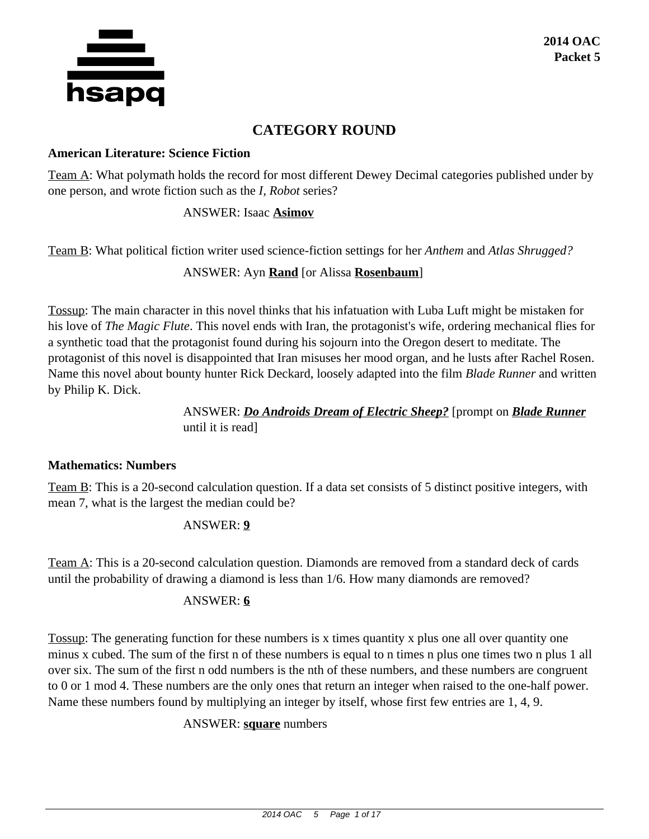

# **CATEGORY ROUND**

#### **American Literature: Science Fiction**

Team A: What polymath holds the record for most different Dewey Decimal categories published under by one person, and wrote fiction such as the *I, Robot* series?

#### ANSWER: Isaac **Asimov**

Team B: What political fiction writer used science-fiction settings for her *Anthem* and *Atlas Shrugged?*

#### ANSWER: Ayn **Rand** [or Alissa **Rosenbaum**]

Tossup: The main character in this novel thinks that his infatuation with Luba Luft might be mistaken for his love of *The Magic Flute*. This novel ends with Iran, the protagonist's wife, ordering mechanical flies for a synthetic toad that the protagonist found during his sojourn into the Oregon desert to meditate. The protagonist of this novel is disappointed that Iran misuses her mood organ, and he lusts after Rachel Rosen. Name this novel about bounty hunter Rick Deckard, loosely adapted into the film *Blade Runner* and written by Philip K. Dick.

> ANSWER: *Do Androids Dream of Electric Sheep?* [prompt on *Blade Runner* until it is read]

#### **Mathematics: Numbers**

Team B: This is a 20-second calculation question. If a data set consists of 5 distinct positive integers, with mean 7, what is the largest the median could be?

## ANSWER: **9**

Team A: This is a 20-second calculation question. Diamonds are removed from a standard deck of cards until the probability of drawing a diamond is less than 1/6. How many diamonds are removed?

#### ANSWER: **6**

Tossup: The generating function for these numbers is x times quantity x plus one all over quantity one minus x cubed. The sum of the first n of these numbers is equal to n times n plus one times two n plus 1 all over six. The sum of the first n odd numbers is the nth of these numbers, and these numbers are congruent to 0 or 1 mod 4. These numbers are the only ones that return an integer when raised to the one-half power. Name these numbers found by multiplying an integer by itself, whose first few entries are 1, 4, 9.

#### ANSWER: **square** numbers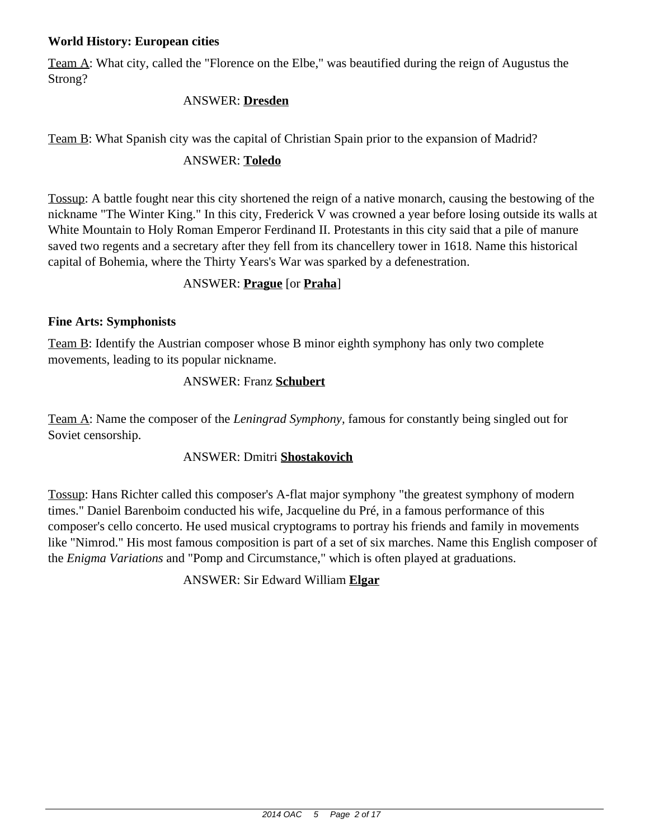#### **World History: European cities**

Team A: What city, called the "Florence on the Elbe," was beautified during the reign of Augustus the Strong?

#### ANSWER: **Dresden**

Team B: What Spanish city was the capital of Christian Spain prior to the expansion of Madrid?

### ANSWER: **Toledo**

Tossup: A battle fought near this city shortened the reign of a native monarch, causing the bestowing of the nickname "The Winter King." In this city, Frederick V was crowned a year before losing outside its walls at White Mountain to Holy Roman Emperor Ferdinand II. Protestants in this city said that a pile of manure saved two regents and a secretary after they fell from its chancellery tower in 1618. Name this historical capital of Bohemia, where the Thirty Years's War was sparked by a defenestration.

## ANSWER: **Prague** [or **Praha**]

#### **Fine Arts: Symphonists**

Team B: Identify the Austrian composer whose B minor eighth symphony has only two complete movements, leading to its popular nickname.

### ANSWER: Franz **Schubert**

Team A: Name the composer of the *Leningrad Symphony,* famous for constantly being singled out for Soviet censorship.

#### ANSWER: Dmitri **Shostakovich**

Tossup: Hans Richter called this composer's A-flat major symphony "the greatest symphony of modern times." Daniel Barenboim conducted his wife, Jacqueline du Pré, in a famous performance of this composer's cello concerto. He used musical cryptograms to portray his friends and family in movements like "Nimrod." His most famous composition is part of a set of six marches. Name this English composer of the *Enigma Variations* and "Pomp and Circumstance," which is often played at graduations.

## ANSWER: Sir Edward William **Elgar**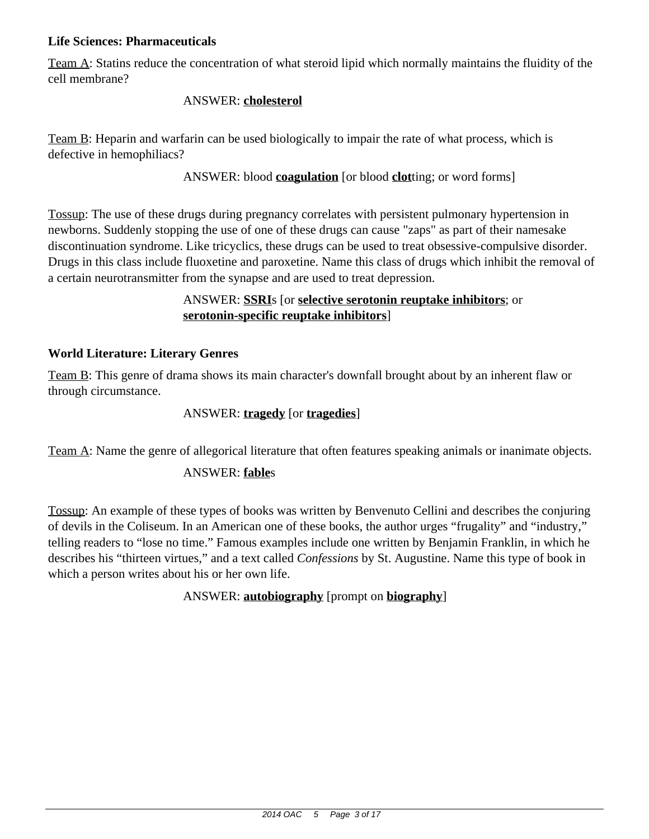#### **Life Sciences: Pharmaceuticals**

Team A: Statins reduce the concentration of what steroid lipid which normally maintains the fluidity of the cell membrane?

#### ANSWER: **cholesterol**

Team B: Heparin and warfarin can be used biologically to impair the rate of what process, which is defective in hemophiliacs?

ANSWER: blood **coagulation** [or blood **clot**ting; or word forms]

Tossup: The use of these drugs during pregnancy correlates with persistent pulmonary hypertension in newborns. Suddenly stopping the use of one of these drugs can cause "zaps" as part of their namesake discontinuation syndrome. Like tricyclics, these drugs can be used to treat obsessive-compulsive disorder. Drugs in this class include fluoxetine and paroxetine. Name this class of drugs which inhibit the removal of a certain neurotransmitter from the synapse and are used to treat depression.

#### ANSWER: **SSRI**s [or **selective serotonin reuptake inhibitors**; or **serotonin-specific reuptake inhibitors**]

#### **World Literature: Literary Genres**

Team B: This genre of drama shows its main character's downfall brought about by an inherent flaw or through circumstance.

#### ANSWER: **tragedy** [or **tragedies**]

Team A: Name the genre of allegorical literature that often features speaking animals or inanimate objects.

#### ANSWER: **fable**s

Tossup: An example of these types of books was written by Benvenuto Cellini and describes the conjuring of devils in the Coliseum. In an American one of these books, the author urges "frugality" and "industry," telling readers to "lose no time." Famous examples include one written by Benjamin Franklin, in which he describes his "thirteen virtues," and a text called *Confessions* by St. Augustine. Name this type of book in which a person writes about his or her own life.

#### ANSWER: **autobiography** [prompt on **biography**]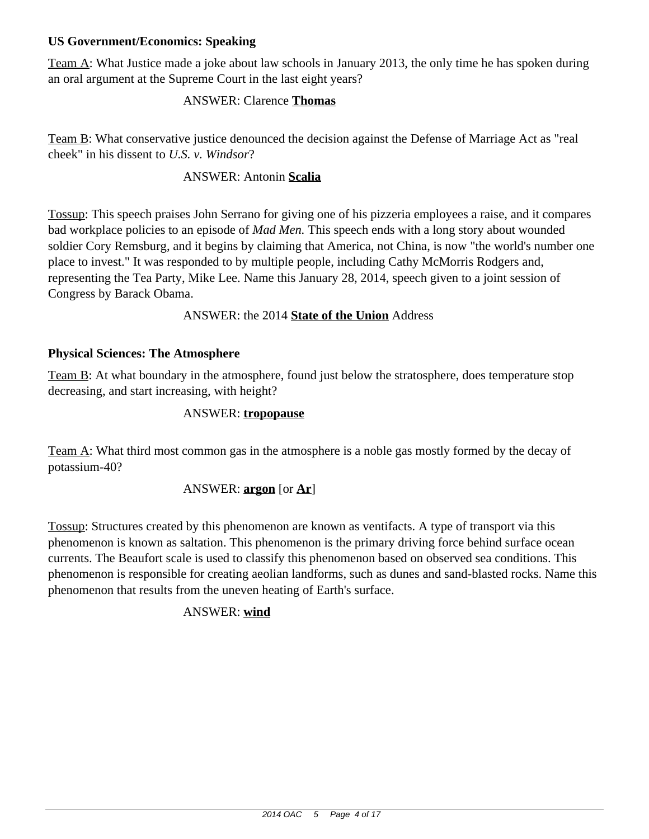### **US Government/Economics: Speaking**

Team A: What Justice made a joke about law schools in January 2013, the only time he has spoken during an oral argument at the Supreme Court in the last eight years?

### ANSWER: Clarence **Thomas**

Team B: What conservative justice denounced the decision against the Defense of Marriage Act as "real cheek" in his dissent to *U.S. v. Windsor*?

#### ANSWER: Antonin **Scalia**

Tossup: This speech praises John Serrano for giving one of his pizzeria employees a raise, and it compares bad workplace policies to an episode of *Mad Men.* This speech ends with a long story about wounded soldier Cory Remsburg, and it begins by claiming that America, not China, is now "the world's number one place to invest." It was responded to by multiple people, including Cathy McMorris Rodgers and, representing the Tea Party, Mike Lee. Name this January 28, 2014, speech given to a joint session of Congress by Barack Obama.

#### ANSWER: the 2014 **State of the Union** Address

### **Physical Sciences: The Atmosphere**

Team B: At what boundary in the atmosphere, found just below the stratosphere, does temperature stop decreasing, and start increasing, with height?

#### ANSWER: **tropopause**

Team A: What third most common gas in the atmosphere is a noble gas mostly formed by the decay of potassium-40?

#### ANSWER: **argon** [or **Ar**]

Tossup: Structures created by this phenomenon are known as ventifacts. A type of transport via this phenomenon is known as saltation. This phenomenon is the primary driving force behind surface ocean currents. The Beaufort scale is used to classify this phenomenon based on observed sea conditions. This phenomenon is responsible for creating aeolian landforms, such as dunes and sand-blasted rocks. Name this phenomenon that results from the uneven heating of Earth's surface.

## ANSWER: **wind**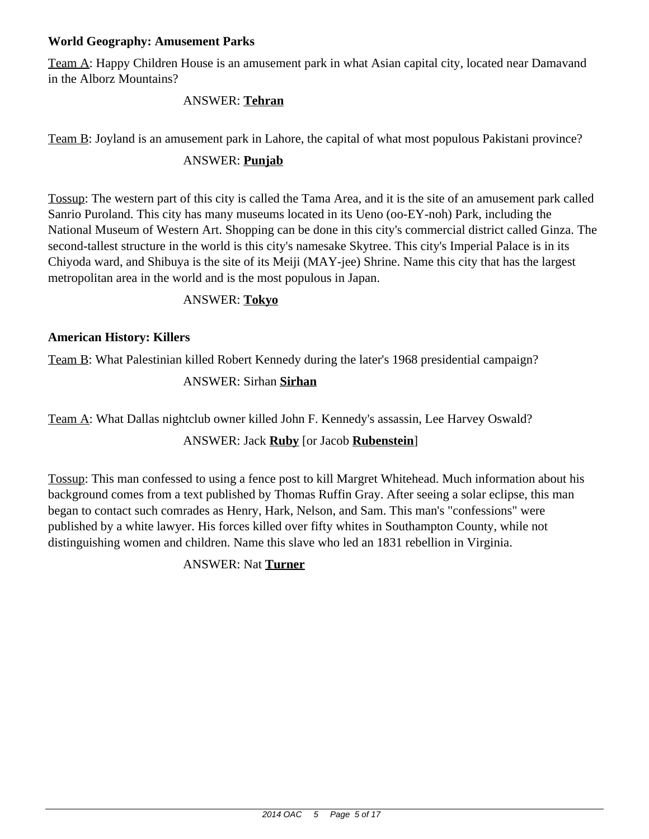#### **World Geography: Amusement Parks**

Team A: Happy Children House is an amusement park in what Asian capital city, located near Damavand in the Alborz Mountains?

### ANSWER: **Tehran**

Team B: Joyland is an amusement park in Lahore, the capital of what most populous Pakistani province?

#### ANSWER: **Punjab**

Tossup: The western part of this city is called the Tama Area, and it is the site of an amusement park called Sanrio Puroland. This city has many museums located in its Ueno (oo-EY-noh) Park, including the National Museum of Western Art. Shopping can be done in this city's commercial district called Ginza. The second-tallest structure in the world is this city's namesake Skytree. This city's Imperial Palace is in its Chiyoda ward, and Shibuya is the site of its Meiji (MAY-jee) Shrine. Name this city that has the largest metropolitan area in the world and is the most populous in Japan.

#### ANSWER: **Tokyo**

### **American History: Killers**

Team B: What Palestinian killed Robert Kennedy during the later's 1968 presidential campaign?

### ANSWER: Sirhan **Sirhan**

Team A: What Dallas nightclub owner killed John F. Kennedy's assassin, Lee Harvey Oswald?

## ANSWER: Jack **Ruby** [or Jacob **Rubenstein**]

Tossup: This man confessed to using a fence post to kill Margret Whitehead. Much information about his background comes from a text published by Thomas Ruffin Gray. After seeing a solar eclipse, this man began to contact such comrades as Henry, Hark, Nelson, and Sam. This man's "confessions" were published by a white lawyer. His forces killed over fifty whites in Southampton County, while not distinguishing women and children. Name this slave who led an 1831 rebellion in Virginia.

ANSWER: Nat **Turner**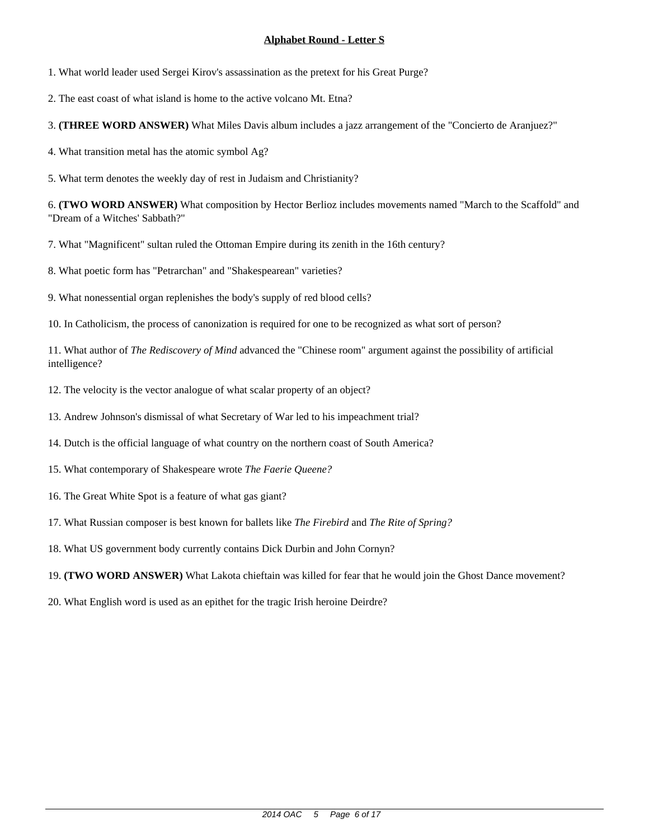1. What world leader used Sergei Kirov's assassination as the pretext for his Great Purge?

- 2. The east coast of what island is home to the active volcano Mt. Etna?
- 3. **(THREE WORD ANSWER)** What Miles Davis album includes a jazz arrangement of the "Concierto de Aranjuez?"

4. What transition metal has the atomic symbol Ag?

5. What term denotes the weekly day of rest in Judaism and Christianity?

6. **(TWO WORD ANSWER)** What composition by Hector Berlioz includes movements named "March to the Scaffold" and "Dream of a Witches' Sabbath?"

7. What "Magnificent" sultan ruled the Ottoman Empire during its zenith in the 16th century?

8. What poetic form has "Petrarchan" and "Shakespearean" varieties?

9. What nonessential organ replenishes the body's supply of red blood cells?

10. In Catholicism, the process of canonization is required for one to be recognized as what sort of person?

- 12. The velocity is the vector analogue of what scalar property of an object?
- 13. Andrew Johnson's dismissal of what Secretary of War led to his impeachment trial?
- 14. Dutch is the official language of what country on the northern coast of South America?
- 15. What contemporary of Shakespeare wrote *The Faerie Queene?*
- 16. The Great White Spot is a feature of what gas giant?
- 17. What Russian composer is best known for ballets like *The Firebird* and *The Rite of Spring?*
- 18. What US government body currently contains Dick Durbin and John Cornyn?
- 19. **(TWO WORD ANSWER)** What Lakota chieftain was killed for fear that he would join the Ghost Dance movement?
- 20. What English word is used as an epithet for the tragic Irish heroine Deirdre?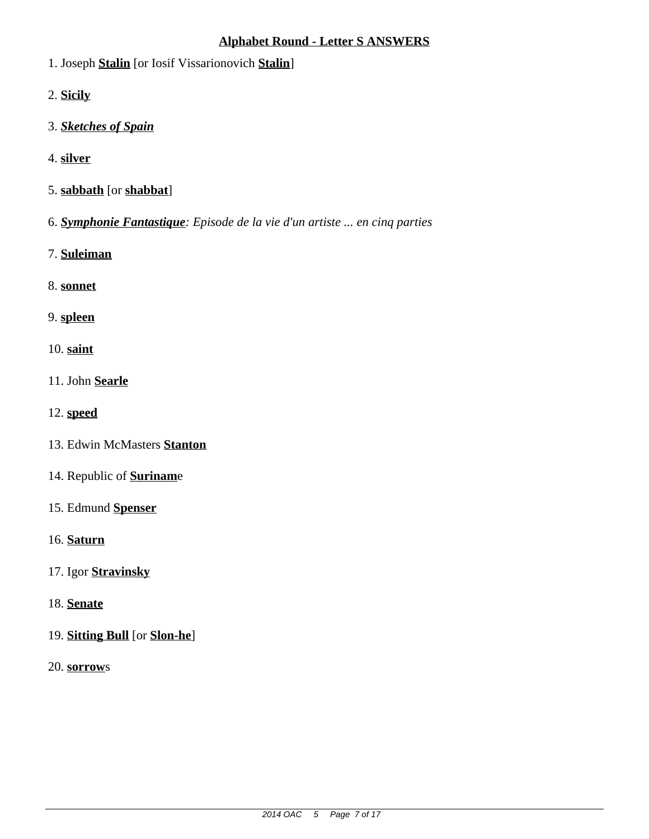#### **Alphabet Round - Letter S ANSWERS**

- 1. Joseph **Stalin** [or Iosif Vissarionovich **Stalin**]
- 2. **Sicily**
- 3. *Sketches of Spain*
- 4. **silver**
- 5. **sabbath** [or **shabbat**]
- 6. *Symphonie Fantastique: Episode de la vie d'un artiste ... en cinq parties*
- 7. **Suleiman**
- 8. **sonnet**
- 9. **spleen**
- 10. **saint**
- 11. John **Searle**
- 12. **speed**
- 13. Edwin McMasters **Stanton**
- 14. Republic of **Surinam**e
- 15. Edmund **Spenser**
- 16. **Saturn**
- 17. Igor **Stravinsky**
- 18. **Senate**
- 19. **Sitting Bull** [or **Slon-he**]
- 20. **sorrow**s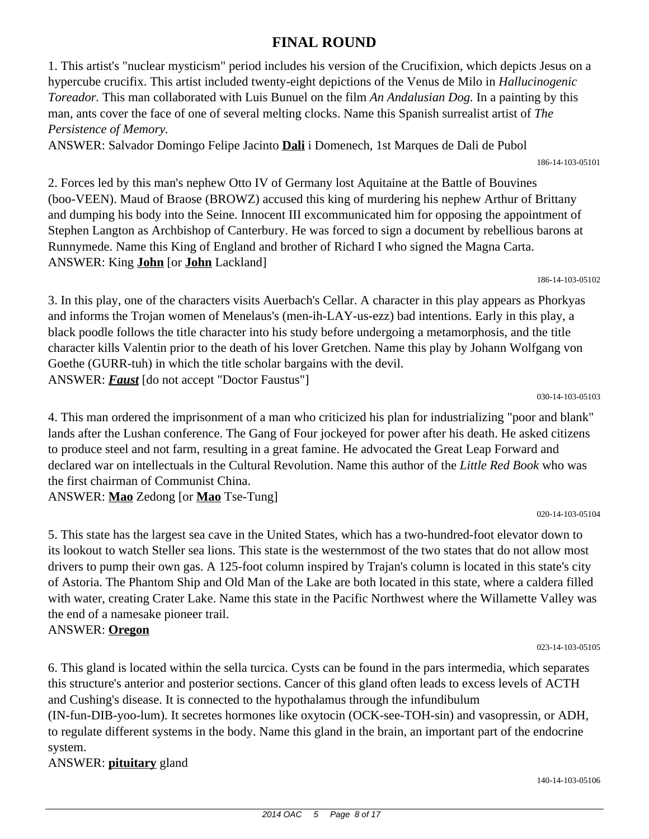# **FINAL ROUND**

1. This artist's "nuclear mysticism" period includes his version of the Crucifixion, which depicts Jesus on a hypercube crucifix. This artist included twenty-eight depictions of the Venus de Milo in *Hallucinogenic Toreador.* This man collaborated with Luis Bunuel on the film *An Andalusian Dog.* In a painting by this man, ants cover the face of one of several melting clocks. Name this Spanish surrealist artist of *The Persistence of Memory.*

ANSWER: Salvador Domingo Felipe Jacinto **Dali** i Domenech, 1st Marques de Dali de Pubol

186-14-103-05101

2. Forces led by this man's nephew Otto IV of Germany lost Aquitaine at the Battle of Bouvines (boo-VEEN). Maud of Braose (BROWZ) accused this king of murdering his nephew Arthur of Brittany and dumping his body into the Seine. Innocent III excommunicated him for opposing the appointment of Stephen Langton as Archbishop of Canterbury. He was forced to sign a document by rebellious barons at Runnymede. Name this King of England and brother of Richard I who signed the Magna Carta. ANSWER: King **John** [or **John** Lackland]

186-14-103-05102

3. In this play, one of the characters visits Auerbach's Cellar. A character in this play appears as Phorkyas and informs the Trojan women of Menelaus's (men-ih-LAY-us-ezz) bad intentions. Early in this play, a black poodle follows the title character into his study before undergoing a metamorphosis, and the title character kills Valentin prior to the death of his lover Gretchen. Name this play by Johann Wolfgang von Goethe (GURR-tuh) in which the title scholar bargains with the devil. ANSWER: *Faust* [do not accept "Doctor Faustus"]

030-14-103-05103

020-14-103-05104

4. This man ordered the imprisonment of a man who criticized his plan for industrializing "poor and blank" lands after the Lushan conference. The Gang of Four jockeyed for power after his death. He asked citizens to produce steel and not farm, resulting in a great famine. He advocated the Great Leap Forward and declared war on intellectuals in the Cultural Revolution. Name this author of the *Little Red Book* who was the first chairman of Communist China.

ANSWER: **Mao** Zedong [or **Mao** Tse-Tung]

5. This state has the largest sea cave in the United States, which has a two-hundred-foot elevator down to its lookout to watch Steller sea lions. This state is the westernmost of the two states that do not allow most drivers to pump their own gas. A 125-foot column inspired by Trajan's column is located in this state's city of Astoria. The Phantom Ship and Old Man of the Lake are both located in this state, where a caldera filled with water, creating Crater Lake. Name this state in the Pacific Northwest where the Willamette Valley was the end of a namesake pioneer trail. ANSWER: **Oregon**

023-14-103-05105

6. This gland is located within the sella turcica. Cysts can be found in the pars intermedia, which separates this structure's anterior and posterior sections. Cancer of this gland often leads to excess levels of ACTH and Cushing's disease. It is connected to the hypothalamus through the infundibulum (IN-fun-DIB-yoo-lum). It secretes hormones like oxytocin (OCK-see-TOH-sin) and vasopressin, or ADH, to regulate different systems in the body. Name this gland in the brain, an important part of the endocrine system.

ANSWER: **pituitary** gland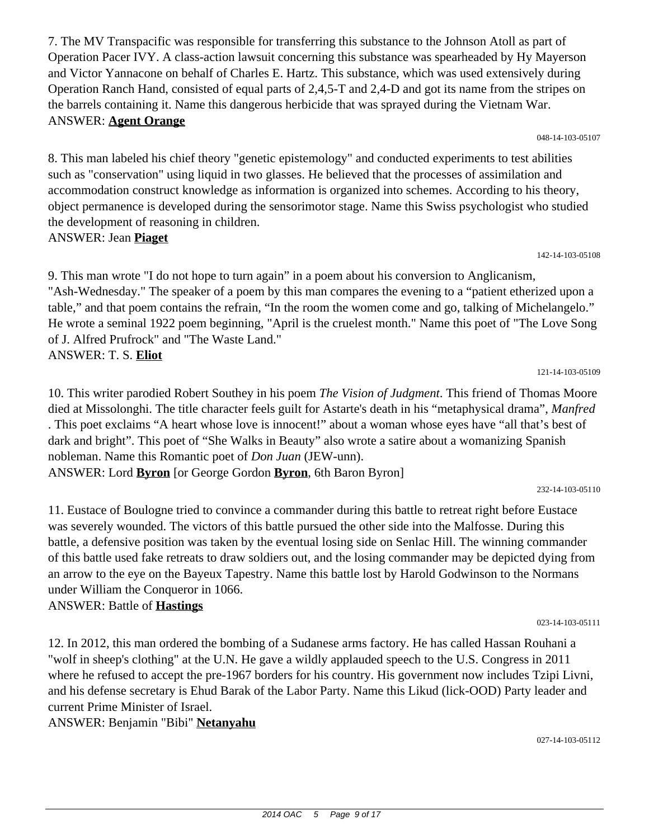7. The MV Transpacific was responsible for transferring this substance to the Johnson Atoll as part of Operation Pacer IVY. A class-action lawsuit concerning this substance was spearheaded by Hy Mayerson and Victor Yannacone on behalf of Charles E. Hartz. This substance, which was used extensively during Operation Ranch Hand, consisted of equal parts of 2,4,5-T and 2,4-D and got its name from the stripes on the barrels containing it. Name this dangerous herbicide that was sprayed during the Vietnam War. ANSWER: **Agent Orange**

8. This man labeled his chief theory "genetic epistemology" and conducted experiments to test abilities such as "conservation" using liquid in two glasses. He believed that the processes of assimilation and accommodation construct knowledge as information is organized into schemes. According to his theory, object permanence is developed during the sensorimotor stage. Name this Swiss psychologist who studied the development of reasoning in children.

### ANSWER: Jean **Piaget**

9. This man wrote "I do not hope to turn again" in a poem about his conversion to Anglicanism, "Ash-Wednesday." The speaker of a poem by this man compares the evening to a "patient etherized upon a table," and that poem contains the refrain, "In the room the women come and go, talking of Michelangelo." He wrote a seminal 1922 poem beginning, "April is the cruelest month." Name this poet of "The Love Song of J. Alfred Prufrock" and "The Waste Land." ANSWER: T. S. **Eliot**

10. This writer parodied Robert Southey in his poem *The Vision of Judgment*. This friend of Thomas Moore died at Missolonghi. The title character feels guilt for Astarte's death in his "metaphysical drama", *Manfred* . This poet exclaims "A heart whose love is innocent!" about a woman whose eyes have "all that's best of dark and bright". This poet of "She Walks in Beauty" also wrote a satire about a womanizing Spanish nobleman. Name this Romantic poet of *Don Juan* (JEW-unn). ANSWER: Lord **Byron** [or George Gordon **Byron**, 6th Baron Byron]

11. Eustace of Boulogne tried to convince a commander during this battle to retreat right before Eustace was severely wounded. The victors of this battle pursued the other side into the Malfosse. During this battle, a defensive position was taken by the eventual losing side on Senlac Hill. The winning commander of this battle used fake retreats to draw soldiers out, and the losing commander may be depicted dying from an arrow to the eye on the Bayeux Tapestry. Name this battle lost by Harold Godwinson to the Normans under William the Conqueror in 1066.

## ANSWER: Battle of **Hastings**

12. In 2012, this man ordered the bombing of a Sudanese arms factory. He has called Hassan Rouhani a "wolf in sheep's clothing" at the U.N. He gave a wildly applauded speech to the U.S. Congress in 2011 where he refused to accept the pre-1967 borders for his country. His government now includes Tzipi Livni, and his defense secretary is Ehud Barak of the Labor Party. Name this Likud (lick-OOD) Party leader and current Prime Minister of Israel.

ANSWER: Benjamin "Bibi" **Netanyahu**

142-14-103-05108

121-14-103-05109

232-14-103-05110

048-14-103-05107

023-14-103-05111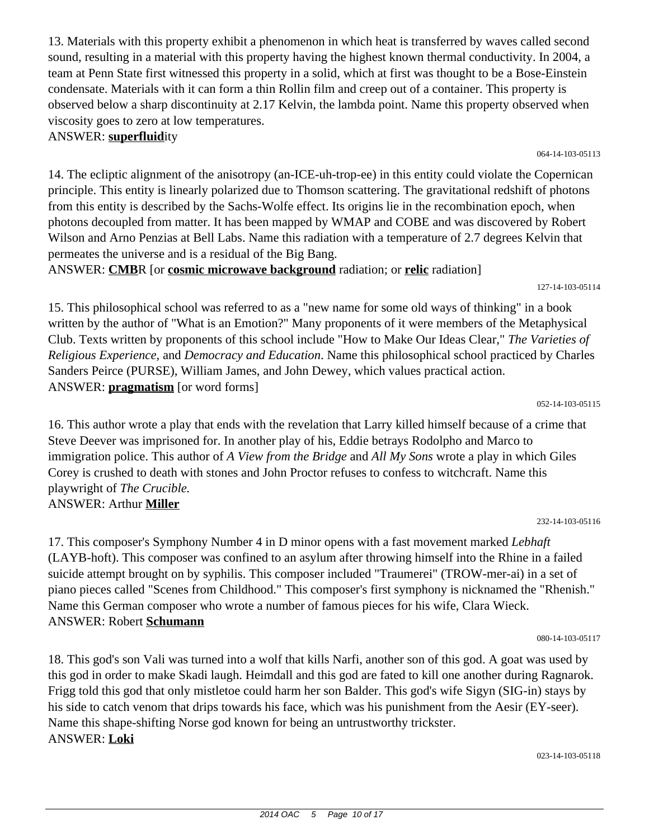13. Materials with this property exhibit a phenomenon in which heat is transferred by waves called second sound, resulting in a material with this property having the highest known thermal conductivity. In 2004, a team at Penn State first witnessed this property in a solid, which at first was thought to be a Bose-Einstein condensate. Materials with it can form a thin Rollin film and creep out of a container. This property is observed below a sharp discontinuity at 2.17 Kelvin, the lambda point. Name this property observed when viscosity goes to zero at low temperatures.

## ANSWER: **superfluid**ity

14. The ecliptic alignment of the anisotropy (an-ICE-uh-trop-ee) in this entity could violate the Copernican principle. This entity is linearly polarized due to Thomson scattering. The gravitational redshift of photons from this entity is described by the Sachs-Wolfe effect. Its origins lie in the recombination epoch, when photons decoupled from matter. It has been mapped by WMAP and COBE and was discovered by Robert Wilson and Arno Penzias at Bell Labs. Name this radiation with a temperature of 2.7 degrees Kelvin that permeates the universe and is a residual of the Big Bang.

ANSWER: **CMB**R [or **cosmic microwave background** radiation; or **relic** radiation]

15. This philosophical school was referred to as a "new name for some old ways of thinking" in a book written by the author of "What is an Emotion?" Many proponents of it were members of the Metaphysical Club. Texts written by proponents of this school include "How to Make Our Ideas Clear," *The Varieties of Religious Experience,* and *Democracy and Education*. Name this philosophical school practiced by Charles Sanders Peirce (PURSE), William James, and John Dewey, which values practical action. ANSWER: **pragmatism** [or word forms]

052-14-103-05115

127-14-103-05114

16. This author wrote a play that ends with the revelation that Larry killed himself because of a crime that Steve Deever was imprisoned for. In another play of his, Eddie betrays Rodolpho and Marco to immigration police. This author of *A View from the Bridge* and *All My Sons* wrote a play in which Giles Corey is crushed to death with stones and John Proctor refuses to confess to witchcraft. Name this playwright of *The Crucible.* ANSWER: Arthur **Miller**

232-14-103-05116

17. This composer's Symphony Number 4 in D minor opens with a fast movement marked *Lebhaft* (LAYB-hoft). This composer was confined to an asylum after throwing himself into the Rhine in a failed suicide attempt brought on by syphilis. This composer included "Traumerei" (TROW-mer-ai) in a set of piano pieces called "Scenes from Childhood." This composer's first symphony is nicknamed the "Rhenish." Name this German composer who wrote a number of famous pieces for his wife, Clara Wieck. ANSWER: Robert **Schumann**

080-14-103-05117

18. This god's son Vali was turned into a wolf that kills Narfi, another son of this god. A goat was used by this god in order to make Skadi laugh. Heimdall and this god are fated to kill one another during Ragnarok. Frigg told this god that only mistletoe could harm her son Balder. This god's wife Sigyn (SIG-in) stays by his side to catch venom that drips towards his face, which was his punishment from the Aesir (EY-seer). Name this shape-shifting Norse god known for being an untrustworthy trickster. ANSWER: **Loki**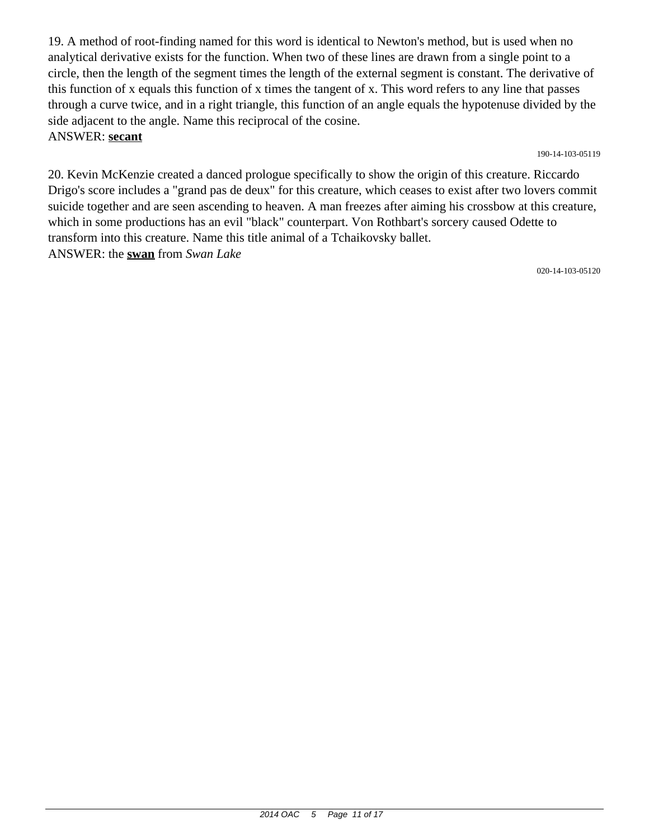19. A method of root-finding named for this word is identical to Newton's method, but is used when no analytical derivative exists for the function. When two of these lines are drawn from a single point to a circle, then the length of the segment times the length of the external segment is constant. The derivative of this function of x equals this function of x times the tangent of x. This word refers to any line that passes through a curve twice, and in a right triangle, this function of an angle equals the hypotenuse divided by the side adjacent to the angle. Name this reciprocal of the cosine. ANSWER: **secant**

190-14-103-05119

20. Kevin McKenzie created a danced prologue specifically to show the origin of this creature. Riccardo Drigo's score includes a "grand pas de deux" for this creature, which ceases to exist after two lovers commit suicide together and are seen ascending to heaven. A man freezes after aiming his crossbow at this creature, which in some productions has an evil "black" counterpart. Von Rothbart's sorcery caused Odette to transform into this creature. Name this title animal of a Tchaikovsky ballet. ANSWER: the **swan** from *Swan Lake*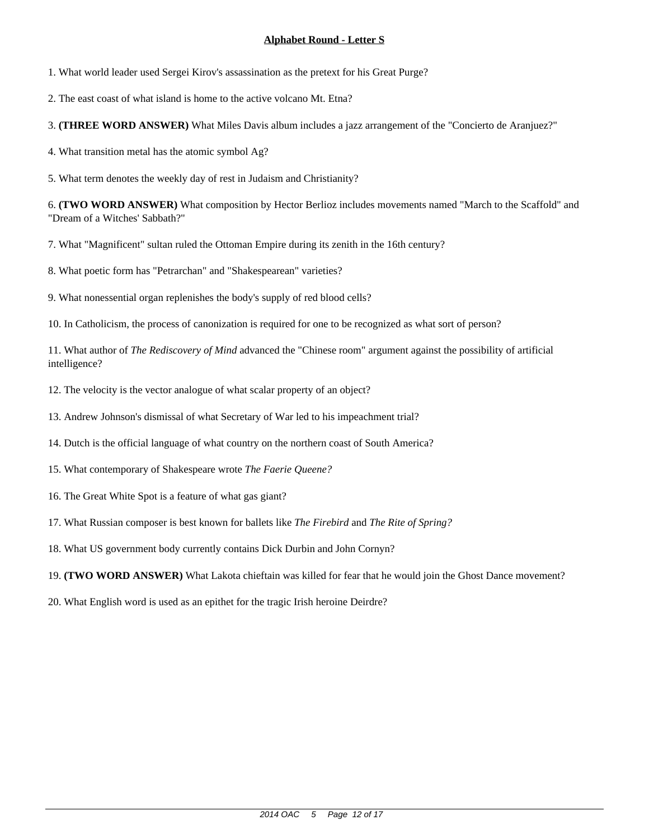1. What world leader used Sergei Kirov's assassination as the pretext for his Great Purge?

- 2. The east coast of what island is home to the active volcano Mt. Etna?
- 3. **(THREE WORD ANSWER)** What Miles Davis album includes a jazz arrangement of the "Concierto de Aranjuez?"

4. What transition metal has the atomic symbol Ag?

5. What term denotes the weekly day of rest in Judaism and Christianity?

6. **(TWO WORD ANSWER)** What composition by Hector Berlioz includes movements named "March to the Scaffold" and "Dream of a Witches' Sabbath?"

7. What "Magnificent" sultan ruled the Ottoman Empire during its zenith in the 16th century?

8. What poetic form has "Petrarchan" and "Shakespearean" varieties?

9. What nonessential organ replenishes the body's supply of red blood cells?

10. In Catholicism, the process of canonization is required for one to be recognized as what sort of person?

- 12. The velocity is the vector analogue of what scalar property of an object?
- 13. Andrew Johnson's dismissal of what Secretary of War led to his impeachment trial?
- 14. Dutch is the official language of what country on the northern coast of South America?
- 15. What contemporary of Shakespeare wrote *The Faerie Queene?*
- 16. The Great White Spot is a feature of what gas giant?
- 17. What Russian composer is best known for ballets like *The Firebird* and *The Rite of Spring?*
- 18. What US government body currently contains Dick Durbin and John Cornyn?
- 19. **(TWO WORD ANSWER)** What Lakota chieftain was killed for fear that he would join the Ghost Dance movement?
- 20. What English word is used as an epithet for the tragic Irish heroine Deirdre?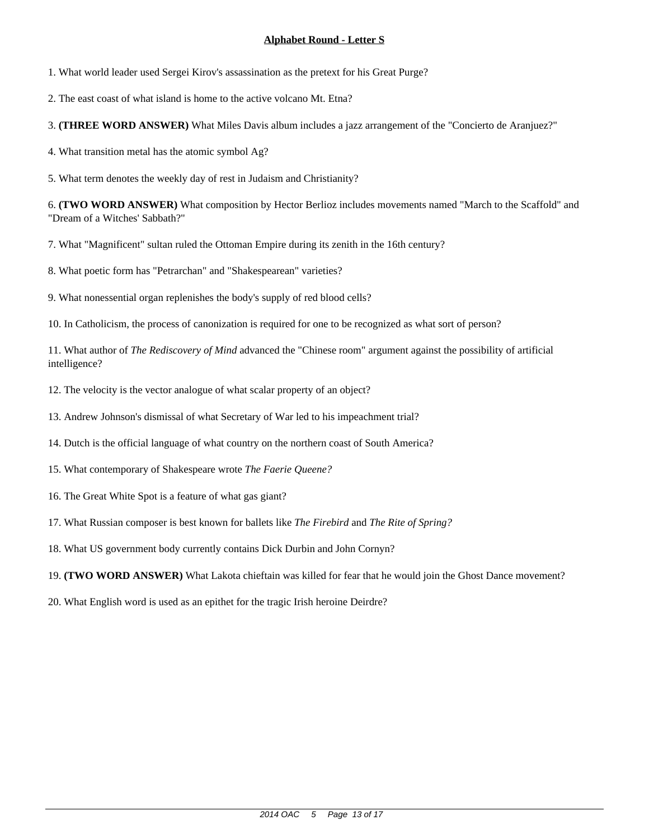1. What world leader used Sergei Kirov's assassination as the pretext for his Great Purge?

- 2. The east coast of what island is home to the active volcano Mt. Etna?
- 3. **(THREE WORD ANSWER)** What Miles Davis album includes a jazz arrangement of the "Concierto de Aranjuez?"

4. What transition metal has the atomic symbol Ag?

5. What term denotes the weekly day of rest in Judaism and Christianity?

6. **(TWO WORD ANSWER)** What composition by Hector Berlioz includes movements named "March to the Scaffold" and "Dream of a Witches' Sabbath?"

7. What "Magnificent" sultan ruled the Ottoman Empire during its zenith in the 16th century?

8. What poetic form has "Petrarchan" and "Shakespearean" varieties?

9. What nonessential organ replenishes the body's supply of red blood cells?

10. In Catholicism, the process of canonization is required for one to be recognized as what sort of person?

- 12. The velocity is the vector analogue of what scalar property of an object?
- 13. Andrew Johnson's dismissal of what Secretary of War led to his impeachment trial?
- 14. Dutch is the official language of what country on the northern coast of South America?
- 15. What contemporary of Shakespeare wrote *The Faerie Queene?*
- 16. The Great White Spot is a feature of what gas giant?
- 17. What Russian composer is best known for ballets like *The Firebird* and *The Rite of Spring?*
- 18. What US government body currently contains Dick Durbin and John Cornyn?
- 19. **(TWO WORD ANSWER)** What Lakota chieftain was killed for fear that he would join the Ghost Dance movement?
- 20. What English word is used as an epithet for the tragic Irish heroine Deirdre?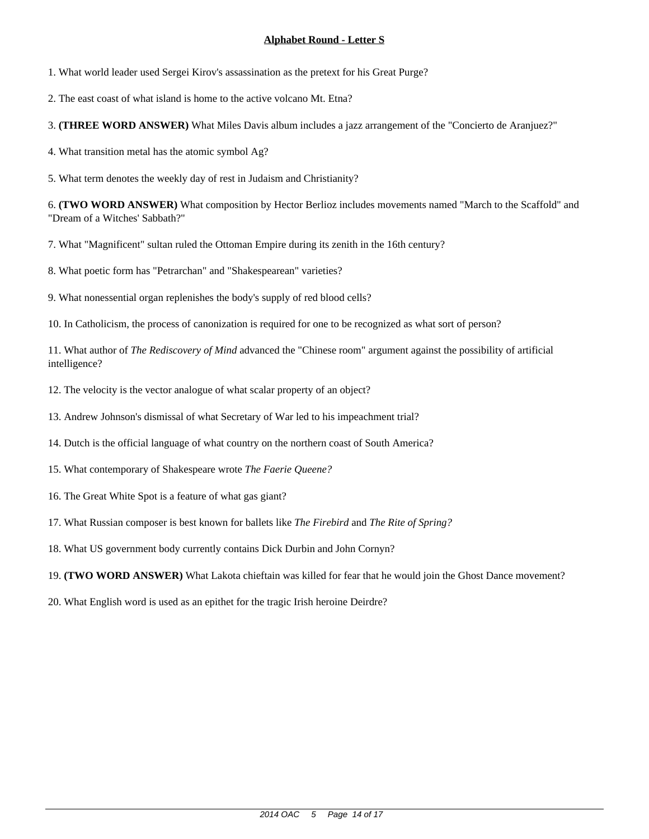1. What world leader used Sergei Kirov's assassination as the pretext for his Great Purge?

- 2. The east coast of what island is home to the active volcano Mt. Etna?
- 3. **(THREE WORD ANSWER)** What Miles Davis album includes a jazz arrangement of the "Concierto de Aranjuez?"

4. What transition metal has the atomic symbol Ag?

5. What term denotes the weekly day of rest in Judaism and Christianity?

6. **(TWO WORD ANSWER)** What composition by Hector Berlioz includes movements named "March to the Scaffold" and "Dream of a Witches' Sabbath?"

- 7. What "Magnificent" sultan ruled the Ottoman Empire during its zenith in the 16th century?
- 8. What poetic form has "Petrarchan" and "Shakespearean" varieties?
- 9. What nonessential organ replenishes the body's supply of red blood cells?
- 10. In Catholicism, the process of canonization is required for one to be recognized as what sort of person?

- 12. The velocity is the vector analogue of what scalar property of an object?
- 13. Andrew Johnson's dismissal of what Secretary of War led to his impeachment trial?
- 14. Dutch is the official language of what country on the northern coast of South America?
- 15. What contemporary of Shakespeare wrote *The Faerie Queene?*
- 16. The Great White Spot is a feature of what gas giant?
- 17. What Russian composer is best known for ballets like *The Firebird* and *The Rite of Spring?*
- 18. What US government body currently contains Dick Durbin and John Cornyn?
- 19. **(TWO WORD ANSWER)** What Lakota chieftain was killed for fear that he would join the Ghost Dance movement?
- 20. What English word is used as an epithet for the tragic Irish heroine Deirdre?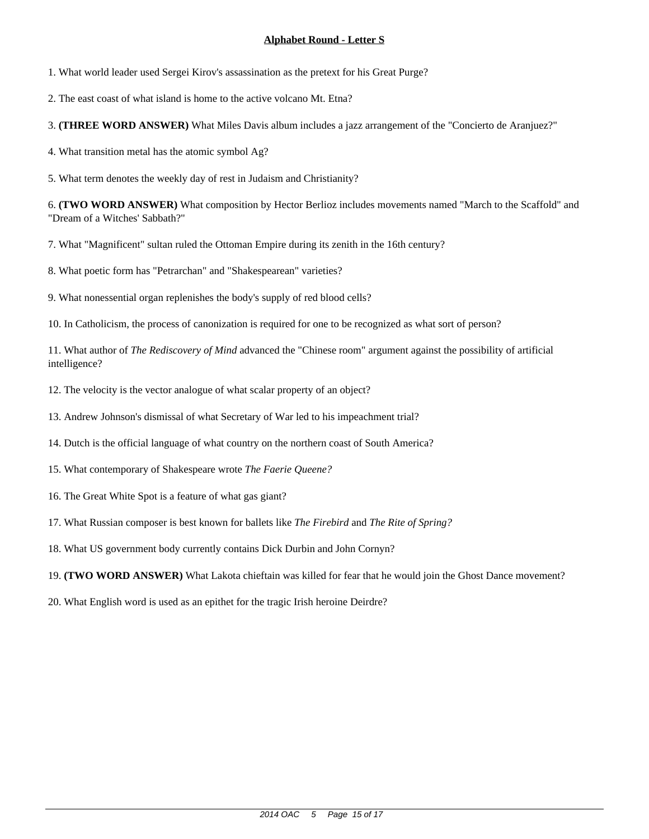1. What world leader used Sergei Kirov's assassination as the pretext for his Great Purge?

- 2. The east coast of what island is home to the active volcano Mt. Etna?
- 3. **(THREE WORD ANSWER)** What Miles Davis album includes a jazz arrangement of the "Concierto de Aranjuez?"

4. What transition metal has the atomic symbol Ag?

5. What term denotes the weekly day of rest in Judaism and Christianity?

6. **(TWO WORD ANSWER)** What composition by Hector Berlioz includes movements named "March to the Scaffold" and "Dream of a Witches' Sabbath?"

7. What "Magnificent" sultan ruled the Ottoman Empire during its zenith in the 16th century?

8. What poetic form has "Petrarchan" and "Shakespearean" varieties?

9. What nonessential organ replenishes the body's supply of red blood cells?

10. In Catholicism, the process of canonization is required for one to be recognized as what sort of person?

- 12. The velocity is the vector analogue of what scalar property of an object?
- 13. Andrew Johnson's dismissal of what Secretary of War led to his impeachment trial?
- 14. Dutch is the official language of what country on the northern coast of South America?
- 15. What contemporary of Shakespeare wrote *The Faerie Queene?*
- 16. The Great White Spot is a feature of what gas giant?
- 17. What Russian composer is best known for ballets like *The Firebird* and *The Rite of Spring?*
- 18. What US government body currently contains Dick Durbin and John Cornyn?
- 19. **(TWO WORD ANSWER)** What Lakota chieftain was killed for fear that he would join the Ghost Dance movement?
- 20. What English word is used as an epithet for the tragic Irish heroine Deirdre?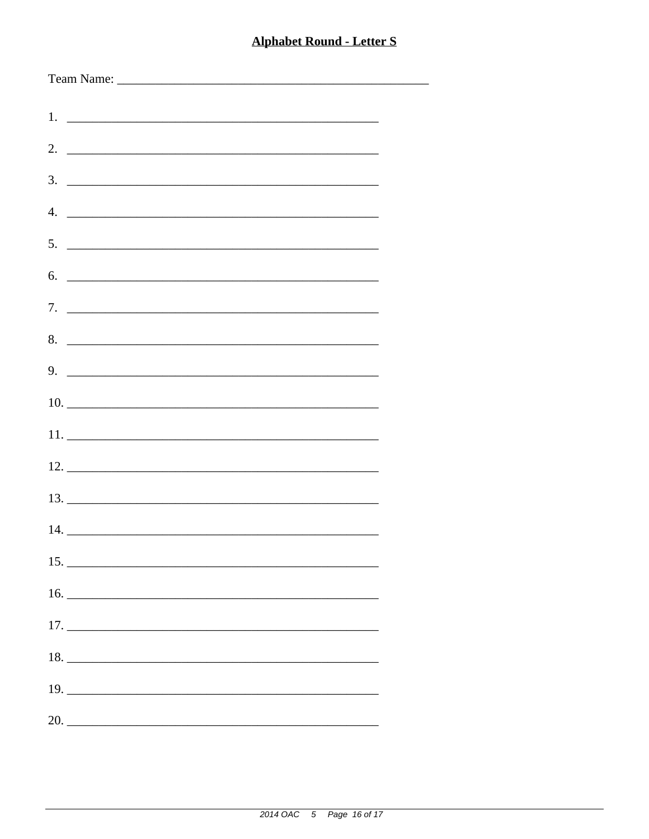| $5.$ $\overline{\phantom{a}}$      |
|------------------------------------|
| 6.                                 |
|                                    |
| 8.                                 |
| $9.$ $\overline{\phantom{1.55\%}}$ |
|                                    |
|                                    |
|                                    |
|                                    |
|                                    |
|                                    |
|                                    |
|                                    |
|                                    |
|                                    |
|                                    |
|                                    |
| 20.                                |
|                                    |